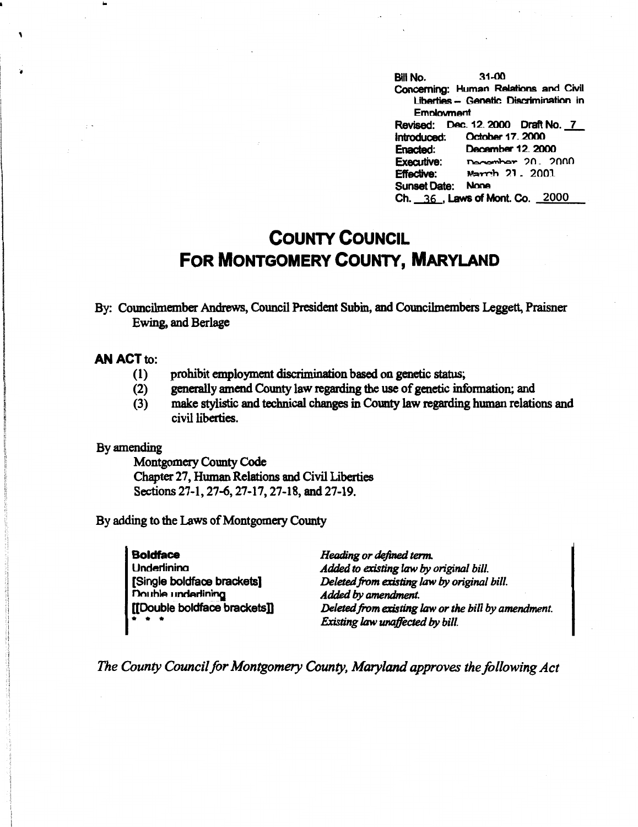Bill No. 31-00 **Concerning: Human Relations and Civil** Liberties - Genetic Discrimination in **Emnlovrnant**  Revised: Dec. 12. 2000 Draft No. 7<br>Introduced: October 17. 2000 Introduced: October 17.2000<br>Enacted: December 12.200 Enacted: December 12, 2000<br>Executive: December 20, 20 December: 20. 2000 **Effective:** March 21, 2001 Sunset Date: None Ch. 36 . Laws of Mont. Co. 2000

## **COUNTY COUNCIL FOR MONTGOMERY COUNTY, MARYLAND**

By: Councilmember Andrews, Council President Subin, and Councilmembers Leggett, Praisner Ewing, and Berlage

## **AN ACT** to:

..

- (1) prohibit employment discrimination based on genetic status;
- (2) generally amend County law regarding the use of genetic information; and
- (3) make stylistic and technical changes in County law regarding human relations and civil liberties.

## By amending

Montgomery County Code Chapter 27, Human Relations and Civil Liberties Sections 27-1, 27-6, 27-17, 27-18, and 27-19.

By adding to the Laws of Montgomery County

**Boldface Underlinina** [Single boldface brackets] Double **inderlining** [[Double boldface bracketsD  $\ddot{\bullet}$   $\ddot{\bullet}$   $\ddot{\bullet}$ 

*Heading or defined term. Added to existing law* by *original bill. Deleted from existing* law by *original bill. Added* by *amendment. Deleted from existing* law *or the bill by amendment. Existing* law *unaffected* by *bill.* 

*The County Council for Montgomery County, Maryland approves the following Act*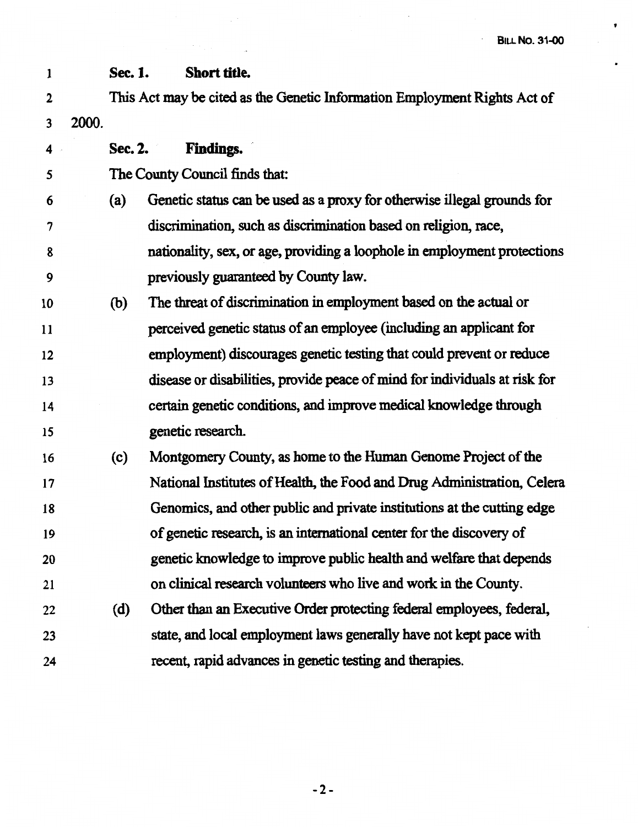· **BILL No. 31-00** 

 $\bullet$ 

 $\bullet$ 

 $\mathbb{R}^2$ 

| $\mathbf{1}$ |       | Sec. 1. | Short title.                                                               |
|--------------|-------|---------|----------------------------------------------------------------------------|
| $\mathbf 2$  |       |         | This Act may be cited as the Genetic Information Employment Rights Act of  |
| 3            | 2000. |         |                                                                            |
| 4            |       | Sec. 2. | <b>Findings.</b>                                                           |
| 5            |       |         | The County Council finds that:                                             |
| 6            |       | (a)     | Genetic status can be used as a proxy for otherwise illegal grounds for    |
| 7            |       |         | discrimination, such as discrimination based on religion, race,            |
| 8            |       |         | nationality, sex, or age, providing a loophole in employment protections   |
| 9            |       |         | previously guaranteed by County law.                                       |
| 10           |       | (b)     | The threat of discrimination in employment based on the actual or          |
| 11           |       |         | perceived genetic status of an employee (including an applicant for        |
| 12           |       |         | employment) discourages genetic testing that could prevent or reduce       |
| 13           |       |         | disease or disabilities, provide peace of mind for individuals at risk for |
| 14           |       |         | certain genetic conditions, and improve medical knowledge through          |
| 15           |       |         | genetic research.                                                          |
| 16           |       | (c)     | Montgomery County, as home to the Human Genome Project of the              |
| 17           |       |         | National Institutes of Health, the Food and Drug Administration, Celera    |
| 18           |       |         | Genomics, and other public and private institutions at the cutting edge    |
| 19           |       |         | of genetic research, is an international center for the discovery of       |
| 20           |       |         | genetic knowledge to improve public health and welfare that depends        |
| 21           |       |         | on clinical research volunteers who live and work in the County.           |
| 22           |       | (d)     | Other than an Executive Order protecting federal employees, federal,       |
| 23           |       |         | state, and local employment laws generally have not kept pace with         |
| 24           |       |         | recent, rapid advances in genetic testing and therapies.                   |

 $\mathbb{R}^2$ 

-2-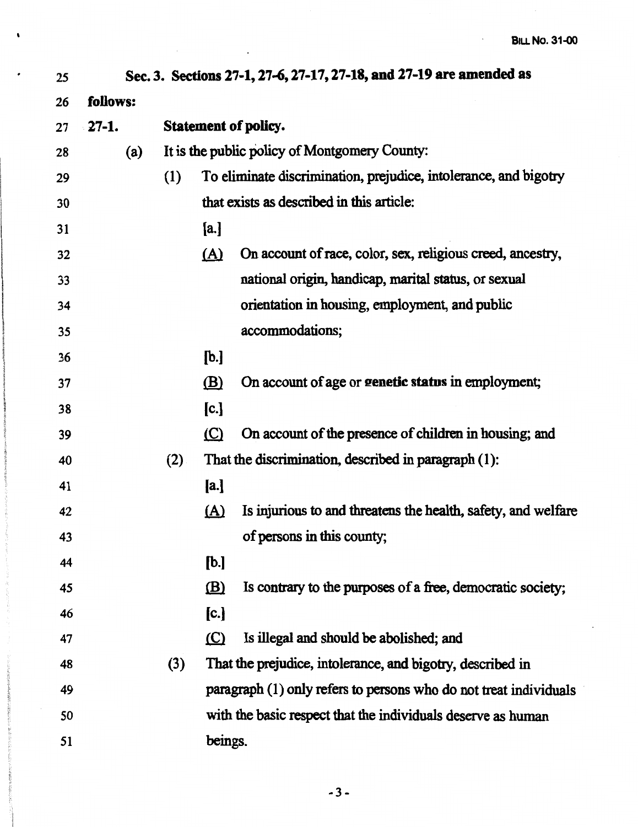$\mathcal{L}^{\pm}$ 

| 25 |          |     |              | Sec. 3. Sections 27-1, 27-6, 27-17, 27-18, and 27-19 are amended as |
|----|----------|-----|--------------|---------------------------------------------------------------------|
| 26 | follows: |     |              |                                                                     |
| 27 | $27-1.$  |     |              | <b>Statement of policy.</b>                                         |
| 28 | (a)      |     |              | It is the public policy of Montgomery County:                       |
| 29 |          | (1) |              | To eliminate discrimination, prejudice, intolerance, and bigotry    |
| 30 |          |     |              | that exists as described in this article:                           |
| 31 |          |     | [a.]         |                                                                     |
| 32 |          |     | <u>(A)</u>   | On account of race, color, sex, religious creed, ancestry,          |
| 33 |          |     |              | national origin, handicap, marital status, or sexual                |
| 34 |          |     |              | orientation in housing, employment, and public                      |
| 35 |          |     |              | accommodations;                                                     |
| 36 |          |     | [b.]         |                                                                     |
| 37 |          |     | $\mathbf{B}$ | On account of age or genetic status in employment;                  |
| 38 |          |     | [c.]         |                                                                     |
| 39 |          |     | $\circ$      | On account of the presence of children in housing; and              |
| 40 |          | (2) |              | That the discrimination, described in paragraph (1):                |
| 41 |          |     | [a.]         |                                                                     |
| 42 |          |     | <u>(A)</u>   | Is injurious to and threatens the health, safety, and welfare       |
| 43 |          |     |              | of persons in this county;                                          |
| 44 |          |     | [b.]         |                                                                     |
| 45 |          |     | (B)          | Is contrary to the purposes of a free, democratic society;          |
| 46 |          |     | [c.]         |                                                                     |
| 47 |          |     | $\circ$      | Is illegal and should be abolished; and                             |
| 48 |          | (3) |              | That the prejudice, intolerance, and bigotry, described in          |
| 49 |          |     |              | paragraph (1) only refers to persons who do not treat individuals   |
| 50 |          |     |              | with the basic respect that the individuals deserve as human        |
| 51 |          |     | beings.      |                                                                     |

 $\mathcal{L}^{\text{max}}_{\text{max}}$  and  $\mathcal{L}^{\text{max}}_{\text{max}}$ 

 $\sim$   $\sim$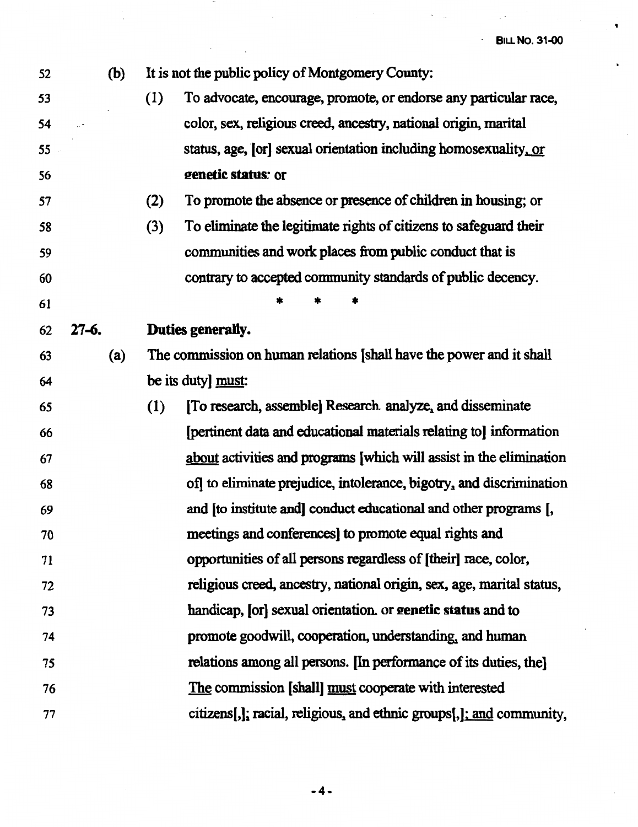$\bullet$ 

 $\ddot{\phantom{1}}$ 

 $\mathbb{Z}^{\mathbb{Z}}$ 

a ji

| 52 | (b)       | It is not the public policy of Montgomery County:                        |
|----|-----------|--------------------------------------------------------------------------|
| 53 |           | (1)<br>To advocate, encourage, promote, or endorse any particular race,  |
| 54 |           | color, sex, religious creed, ancestry, national origin, marital          |
| 55 |           | status, age, [or] sexual orientation including homosexuality, or         |
| 56 |           | genetic status: or                                                       |
| 57 |           | To promote the absence or presence of children in housing; or<br>(2)     |
| 58 |           | To eliminate the legitimate rights of citizens to safeguard their<br>(3) |
| 59 |           | communities and work places from public conduct that is                  |
| 60 |           | contrary to accepted community standards of public decency.              |
| 61 |           |                                                                          |
| 62 | $27 - 6.$ | Duties generally.                                                        |
| 63 | (a)       | The commission on human relations [shall have the power and it shall     |
| 64 |           | be its duty] must:                                                       |
| 65 |           | [To research, assemble] Research analyze, and disseminate<br>(1)         |
| 66 |           | [pertinent data and educational materials relating to] information       |
| 67 |           | about activities and programs [which will assist in the elimination      |
| 68 |           | of to eliminate prejudice, intolerance, bigotry, and discrimination      |
| 69 |           | and [to institute and] conduct educational and other programs [,         |
| 70 |           | meetings and conferences] to promote equal rights and                    |
| 71 |           | opportunities of all persons regardless of [their] race, color,          |
| 72 |           | religious creed, ancestry, national origin, sex, age, marital status,    |
| 73 |           | handicap, [or] sexual orientation or genetic status and to               |
| 74 |           | promote goodwill, cooperation, understanding, and human                  |
| 75 |           | relations among all persons. [In performance of its duties, the]         |
| 76 |           | The commission [shall] must cooperate with interested                    |
| 77 |           | citizens[,]; racial, religious, and ethnic groups[,]; and community,     |

 $\sim$ 

Ņ

-4-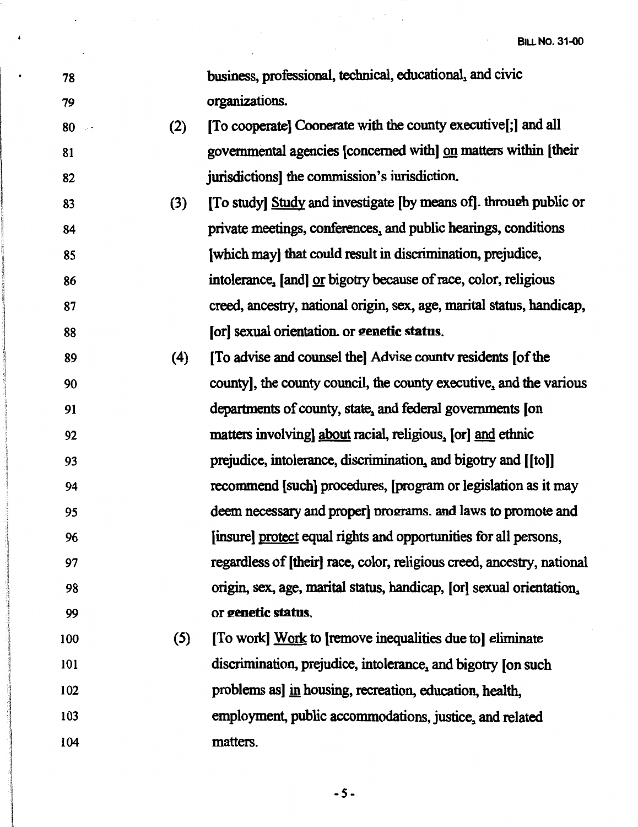| 78      |     | business, professional, technical, educational, and civic              |
|---------|-----|------------------------------------------------------------------------|
| 79      |     | organizations.                                                         |
| 80<br>. | (2) | [To cooperate] Cooperate with the county executive[;] and all          |
| 81      |     | governmental agencies [concerned with] on matters within [their        |
| 82      |     | jurisdictions] the commission's iurisdiction.                          |
| 83      | (3) | [To study] Study and investigate [by means of]. through public or      |
| 84      |     | private meetings, conferences, and public hearings, conditions         |
| 85      |     | [which may] that could result in discrimination, prejudice,            |
| 86      |     | intolerance, [and] or bigotry because of race, color, religious        |
| 87      |     | creed, ancestry, national origin, sex, age, marital status, handicap,  |
| 88      |     | [or] sexual orientation. or genetic status.                            |
| 89      | (4) | [To advise and counsel the] Advise county residents [of the            |
| 90      |     | county, the county council, the county executive, and the various      |
| 91      |     | departments of county, state, and federal governments [on              |
| 92      |     | matters involving about racial, religious, [or] and ethnic             |
| 93      |     | prejudice, intolerance, discrimination, and bigotry and [[to]]         |
| 94      |     | recommend [such] procedures, [program or legislation as it may         |
| 95      |     | deem necessary and proper] programs, and laws to promote and           |
| 96      |     | [insure] protect equal rights and opportunities for all persons,       |
| 97      |     | regardless of [their] race, color, religious creed, ancestry, national |
| 98      |     | origin, sex, age, marital status, handicap, [or] sexual orientation,   |
| 99      |     | or genetic status.                                                     |
| 100     | (5) | [To work] Work to [remove inequalities due to] eliminate               |
| 101     |     | discrimination, prejudice, intolerance, and bigotry [on such           |
| 102     |     | problems as in housing, recreation, education, health,                 |
| 103     |     | employment, public accommodations, justice, and related                |
| 104     |     | matters.                                                               |

 $\label{eq:2.1} \mathcal{L}_{\mathcal{A}}(\mathcal{A}) = \mathcal{L}_{\mathcal{A}}(\mathcal{A}) = \mathcal{L}_{\mathcal{A}}(\mathcal{A}) = \mathcal{L}_{\mathcal{A}}(\mathcal{A}) = \mathcal{L}_{\mathcal{A}}(\mathcal{A})$ 

 $\mathcal{L}^{\text{max}}$ 

 $\Delta \phi = 0.01$  and  $\Delta \phi = 0.01$ 

 $\ddot{\phantom{0}}$ 

 $\cdot$ 

-5-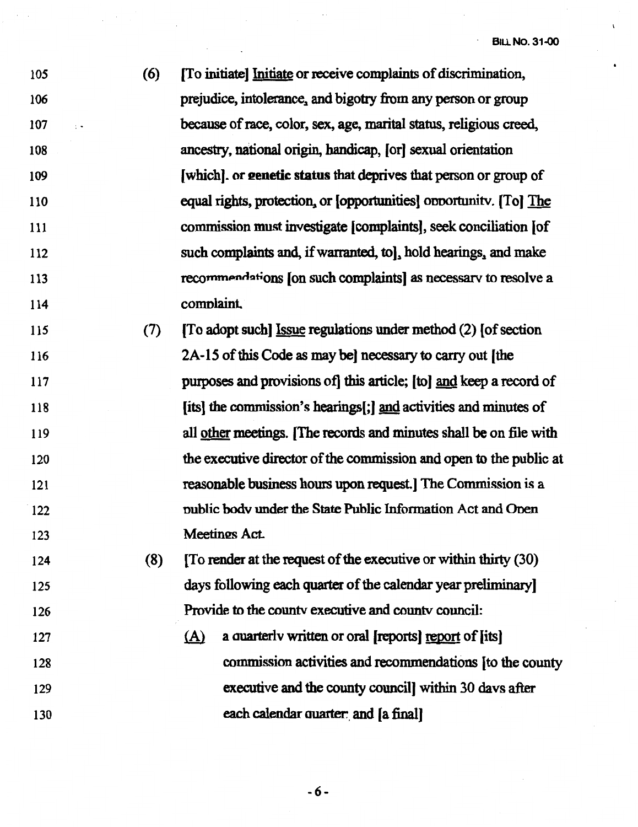*105*  106 107 108 109 110 Ill 112 113 114 115 116 (6) [To initiate) Initiate or receive complaints of discrimination, prejudice, intolerance, and bigotry from any person or group because of race, color, sex, age, marital status, religious creed, ancestry, national origin, handicap, (or) sexual orientation (which]. or **eenetic status** that deprives that person or group of equal rights, protection, or [opportunities] opportunity. [To] The commission must investigate (complaints], seek conciliation [of such complaints and, if warranted, tol, hold hearings, and make recommendations [on such complaints] as necessary to resolve a comnlaint (7) [To adopt such) Issue regulations under method (2) [of section

- 117 118 119 120 121 122 123 2A-15 of this Code as may bel necessary to carry out [the purposes and provisions of] this article; [to) and keep a record of [its) the commission's hearings(;] and activities and minutes of all other meetings. (The records and minutes shall be on file with the executive director of the commission and open to the public at reasonable business hours upon request. The Commission is a nublic bodv under the State Public Information Act and Onen Meetings Act.
- 124 125 126 (8) (To render at the request of the executive or within thirty (30) days following each quarter of the calendar year preliminary] Provide to the countv executive and countv council:
- 127 128 129 130  $(A)$  a quarterly written or oral [reports] report of [its] commission activities and recommendations (to the county executive and the county council] within 30 davs after each calendar quarter: and [a final]

-6-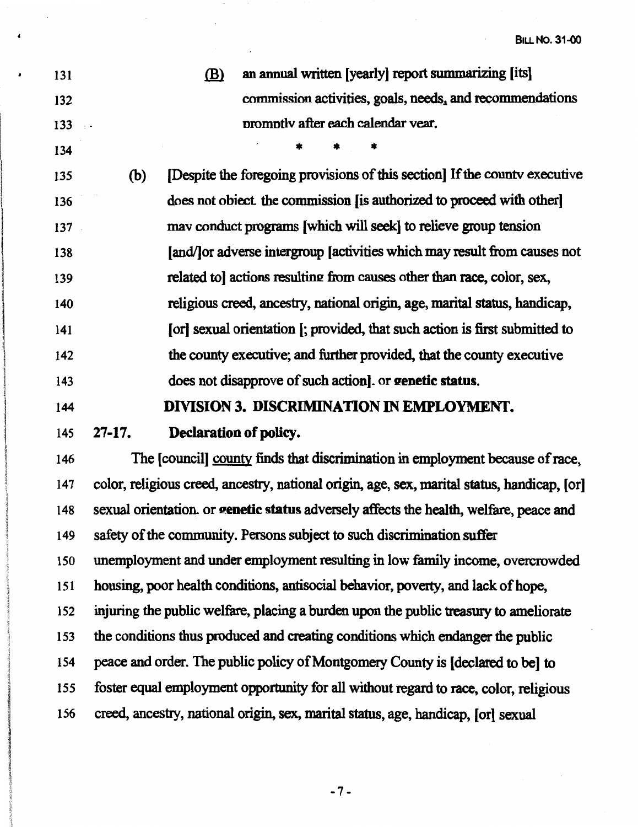| 131                 |     | an annual written [yearly] report summarizing [its]<br>(B)                  |
|---------------------|-----|-----------------------------------------------------------------------------|
| 132                 |     | commission activities, goals, needs, and recommendations                    |
| 133                 |     | promptly after each calendar year.                                          |
| 134                 |     |                                                                             |
| 135                 | (b) | [Despite the foregoing provisions of this section] If the county executive  |
| 136                 |     | does not object the commission [is authorized to proceed with other]        |
| 137                 |     | may conduct programs [which will seek] to relieve group tension             |
| 138                 |     | [and/] or adverse intergroup [activities which may result from causes not   |
| 139                 |     | related to actions resulting from causes other than race, color, sex,       |
| 140                 |     | religious creed, ancestry, national origin, age, marital status, handicap,  |
| 141                 |     | [or] sexual orientation [; provided, that such action is first submitted to |
| 142                 |     | the county executive; and further provided, that the county executive       |
| 143                 |     | does not disapprove of such action. or genetic status.                      |
| 144                 |     | DIVISION 3. DISCRIMINATION IN EMPLOYMENT.                                   |
| $\bullet$ $\bullet$ |     | $\mathbf{D}_{\text{sub}}$                                                   |

## 145 **27-17. Declaration of policy.**

146 The [council] county finds that discrimination in employment because of race, 147 color, religious creed, ancestry, national origin, age, sex, marital status, handicap, [or] 148 sexual orientation. or **eenetic status** adversely affects the health, welfare, peace and 149 safety of the community. Persons subject to such discrimination suffer 150 unemployment and under employment resulting in low family income, overcrowded 151 housing, poor health conditions, antisocial behavior, poverty, and lack of hope, 152 injuring the public welfare, placing a burden upon the public treaswy to ameliorate 153 the conditions thus produced and creating conditions which endanger the public 154 peace and order. The public policy of Montgomery County is [declared to be] to 155 foster equal employment opportunity for all without regard to race, color, religious 156 creed, ancestry, national origin, sex, marital status, age, handicap, (or] sexual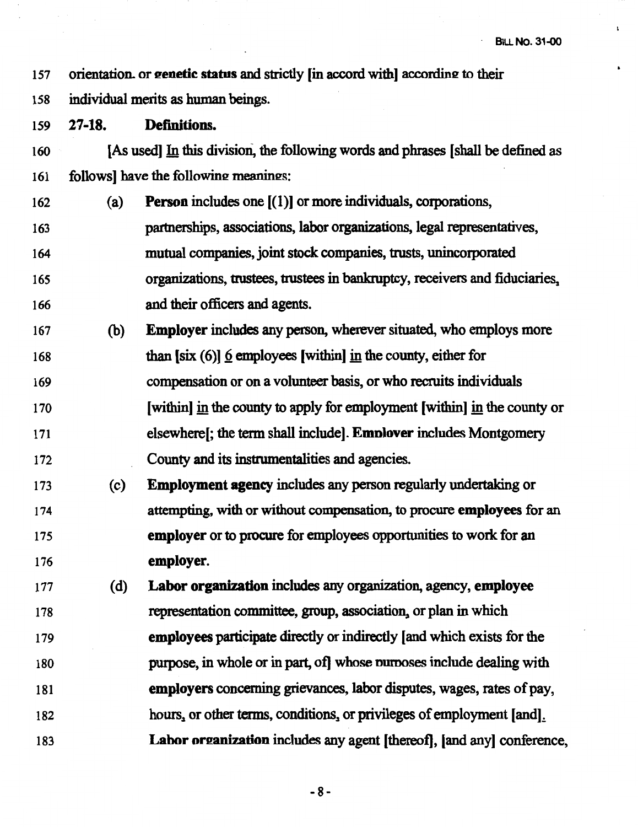$\mathbf t$ 

157 orientation. or **genetic status and strictly [in accord with]** according to their

158 individual merits as human beings.

159 **27-18. Definitions.** 

160 [As used] In this division, the following words and phrases [shall be defined as 161 follows] have the following meanings:

- 162 (a) **Person** includes one  $[(1)]$  or more individuals, corporations, 163 partnerships, associations, labor organizations, legal representatives, 164 mutual companies, joint stock companies, trusts, unincorporated 165 organizations, trustees, trustees in **bankruptcy,** receivers and fiduciaries"
- 166 and their officers and agents.
- 167 (b) **Employer** includes any person, wherever situated, who employs more 168 than [six (6)] 6 employees [within] in the county, either for
- 169 170 171 compensation or on a volunteer basis, or who recruits individuals [within] in the county to apply for employment [within] in the county or elsewhere[; the term shall include]. **Emnlover** includes Montgomery
- 172 County and its instrumentalities and agencies.
- 173 ( c) **Employment agency** includes any person regularly undertaking or 174 175 176 attempting, with or without compensation, to procure **employees** for an **employer** or to procure for employees opportunities to work for an **employer.**
- 177 (d) **Labor organization** includes any organization, agency, **employee** 178 representation committee, group, association, or plan in which 179 **employees** participate directly or indirectly [and which exists for the 180 181 182 183 purpose, in whole or in part, of whose purposes include dealing with employers concerning grievances, labor disputes, wages, rates of pay, hours, or other terms, conditions, or privileges of employment [and]. **Labor oreanizatioo** includes any agent [thereof), [and any] conference,

-8-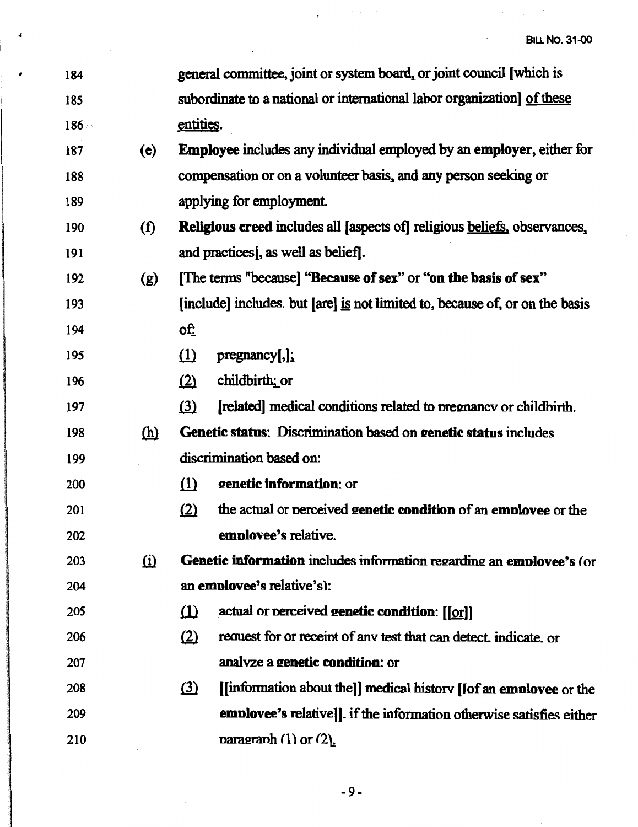$\mathbb{R}^2$ 

 $\Delta \sim 10^4$ 

| ٠ | 184  |            |           | general committee, joint or system board, or joint council [which is             |
|---|------|------------|-----------|----------------------------------------------------------------------------------|
|   | 185  |            |           | subordinate to a national or international labor organization] of these          |
|   | 186. |            | entities. |                                                                                  |
|   | 187  | (e)        |           | <b>Employee</b> includes any individual employed by an employer, either for      |
|   | 188  |            |           | compensation or on a volunteer basis, and any person seeking or                  |
|   | 189  |            |           | applying for employment.                                                         |
|   | 190  | (f)        |           | <b>Religious creed includes all [aspects of] religious beliefs, observances,</b> |
|   | 191  |            |           | and practices[, as well as belief].                                              |
|   | 192  | (g)        |           | [The terms "because] "Because of sex" or "on the basis of sex"                   |
|   | 193  |            |           | [include] includes but [are] is not limited to, because of, or on the basis      |
|   | 194  |            | $of$ :    |                                                                                  |
|   | 195  |            | $\Omega$  | $pregnancy$ [,];                                                                 |
|   | 196  |            | (2)       | childbirth; or                                                                   |
|   | 197  |            | (3)       | [related] medical conditions related to pregnancy or childbirth.                 |
|   | 198  | <u>(h)</u> |           | Genetic status: Discrimination based on genetic status includes                  |
|   | 199  |            |           | discrimination based on:                                                         |
|   | 200  |            | $\Omega$  | genetic information: or                                                          |
|   | 201  |            | (2)       | the actual or perceived genetic condition of an employee or the                  |
|   | 202  |            |           | emplovee's relative.                                                             |
|   | 203  | $\Omega$   |           | Genetic information includes information regarding an emplovee's (or             |
|   | 204  |            |           | an employee's relative's):                                                       |
|   | 205  |            | $\Omega$  | actual or perceived genetic condition: [[or]]                                    |
|   | 206  |            | (2)       | request for or receipt of any test that can detect, indicate, or                 |
|   | 207  |            |           | analyze a genetic condition: or                                                  |
|   | 208  |            | $\Omega$  | [[information about the]] medical history [[of an employee or the                |
|   | 209  |            |           | emplovee's relative]]. if the information otherwise satisfies either             |
|   | 210  |            |           | paragraph $(1)$ or $(2)$ .                                                       |

 $\frac{1}{\sqrt{2}}\int_{-\infty}^{\infty} \frac{1}{\sqrt{2}}\left( \frac{1}{2} \int_{-\infty}^{\infty} \frac{1}{2} \left( \frac{1}{2} \int_{-\infty}^{\infty} \frac{1}{2} \left( \frac{1}{2} \int_{-\infty}^{\infty} \frac{1}{2} \right) \frac{1}{2} \right) \, d\mu \right) d\mu$ 

1981

 $\sim 10$ 

 $\ddot{\bullet}$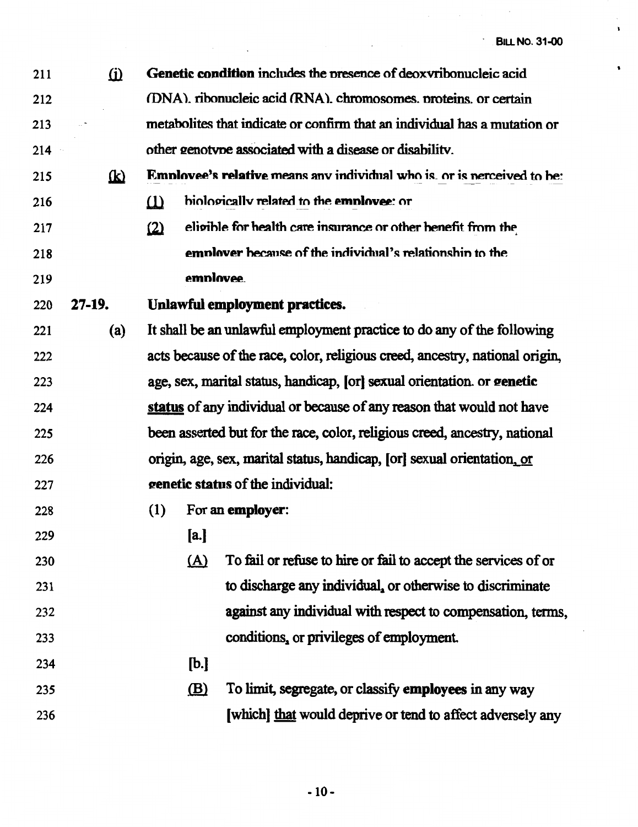ł,  $\bar{\mathbf{r}}$ 

 $\ddot{\phantom{0}}$ 

| 211 | $\omega$ |          |            | Genetic condition includes the presence of deoxyribonucleic acid               |
|-----|----------|----------|------------|--------------------------------------------------------------------------------|
| 212 |          |          |            | (DNA). ribonucleic acid (RNA). chromosomes. proteins. or certain               |
| 213 |          |          |            | metabolites that indicate or confirm that an individual has a mutation or      |
| 214 |          |          |            | other genotype associated with a disease or disability.                        |
| 215 | <b>k</b> |          |            | <b>Employee's relative means any individual who is, or is nerceived to be:</b> |
| 216 |          | $\Omega$ |            | biologically related to the employee: or                                       |
| 217 |          | (2)      |            | eligible for health care insurance or other benefit from the                   |
| 218 |          |          |            | employer because of the individual's relationship to the                       |
| 219 |          |          | employee.  |                                                                                |
| 220 | $27-19.$ |          |            | Unlawful employment practices.                                                 |
| 221 | (a)      |          |            | It shall be an unlawful employment practice to do any of the following         |
| 222 |          |          |            | acts because of the race, color, religious creed, ancestry, national origin,   |
| 223 |          |          |            | age, sex, marital status, handicap, [or] sexual orientation or genetic         |
| 224 |          |          |            | status of any individual or because of any reason that would not have          |
| 225 |          |          |            | been asserted but for the race, color, religious creed, ancestry, national     |
| 226 |          |          |            | origin, age, sex, marital status, handicap, [or] sexual orientation, or        |
| 227 |          |          |            | genetic status of the individual:                                              |
| 228 |          | (1)      |            | For an employer:                                                               |
| 229 |          |          | [a.]       |                                                                                |
| 230 |          |          | <u>(A)</u> | To fail or refuse to hire or fail to accept the services of or                 |
| 231 |          |          |            | to discharge any individual, or otherwise to discriminate                      |
| 232 |          |          |            | against any individual with respect to compensation, terms,                    |
| 233 |          |          |            | conditions, or privileges of employment.                                       |
| 234 |          |          | [b.]       |                                                                                |
| 235 |          |          | (B)        | To limit, segregate, or classify employees in any way                          |
| 236 |          |          |            | [which] that would deprive or tend to affect adversely any                     |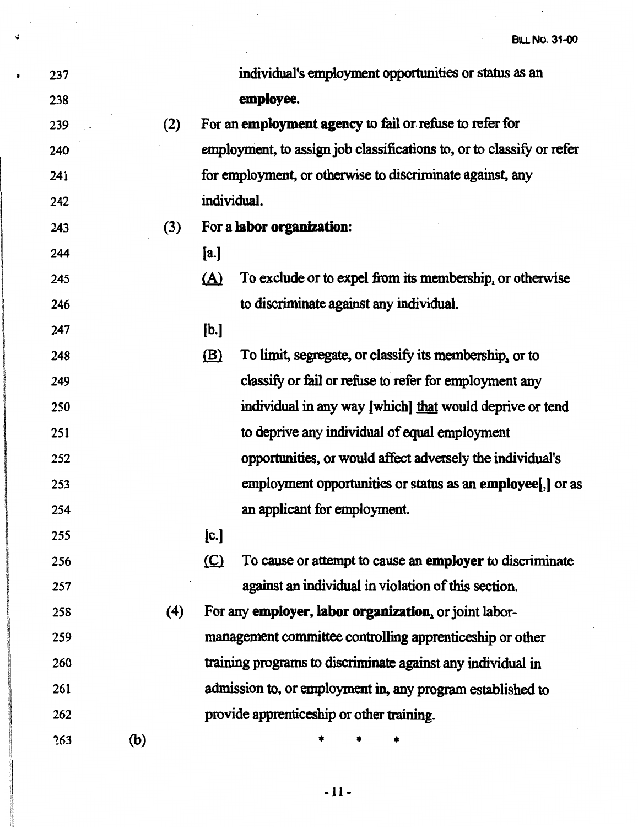$\mathcal{L}_{\mathcal{A}}$  $\mathcal{L}_{\mathcal{A}}$ 

| 237 |     | individual's employment opportunities or status as an                  |
|-----|-----|------------------------------------------------------------------------|
| 238 |     | employee.                                                              |
| 239 | (2) | For an employment agency to fail or refuse to refer for                |
| 240 |     | employment, to assign job classifications to, or to classify or refer  |
| 241 |     | for employment, or otherwise to discriminate against, any              |
| 242 |     | individual.                                                            |
| 243 | (3) | For a labor organization:                                              |
| 244 |     | [a.]                                                                   |
| 245 |     | To exclude or to expel from its membership, or otherwise<br><u>(A)</u> |
| 246 |     | to discriminate against any individual.                                |
| 247 |     | [b.]                                                                   |
| 248 |     | To limit, segregate, or classify its membership, or to<br>$\mathbf{B}$ |
| 249 |     | classify or fail or refuse to refer for employment any                 |
| 250 |     | individual in any way [which] that would deprive or tend               |
| 251 |     | to deprive any individual of equal employment                          |
| 252 |     | opportunities, or would affect adversely the individual's              |
| 253 |     | employment opportunities or status as an employee[,] or as             |
| 254 |     | an applicant for employment.                                           |
| 255 |     | [c.]                                                                   |
| 256 |     | To cause or attempt to cause an employer to discriminate<br>$\circ$    |
| 257 |     | against an individual in violation of this section.                    |
| 258 | (4) | For any employer, labor organization, or joint labor-                  |
| 259 |     | management committee controlling apprenticeship or other               |
| 260 |     | training programs to discriminate against any individual in            |
| 261 |     | admission to, or employment in, any program established to             |
| 262 |     | provide apprenticeship or other training.                              |
| 263 | (b) |                                                                        |

 $\label{eq:2.1} \frac{1}{\sqrt{2\pi}}\int_{\mathbb{R}^3}\frac{1}{\sqrt{2\pi}}\int_{\mathbb{R}^3}\frac{1}{\sqrt{2\pi}}\int_{\mathbb{R}^3}\frac{1}{\sqrt{2\pi}}\int_{\mathbb{R}^3}\frac{1}{\sqrt{2\pi}}\int_{\mathbb{R}^3}\frac{1}{\sqrt{2\pi}}\int_{\mathbb{R}^3}\frac{1}{\sqrt{2\pi}}\int_{\mathbb{R}^3}\frac{1}{\sqrt{2\pi}}\int_{\mathbb{R}^3}\frac{1}{\sqrt{2\pi}}\int_{\mathbb{R}^3}\frac{1$ 

 $\frac{1}{2}$  ,  $\frac{1}{2}$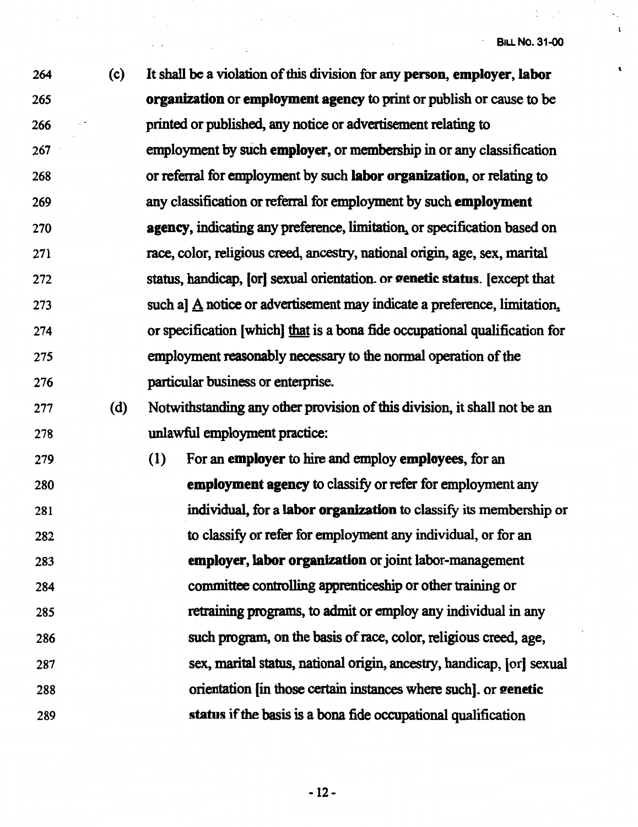$\mathbf{r}$ 

 $\hat{\mathbf{v}}$ 

| 264  | (c) | It shall be a violation of this division for any person, employer, labor               |
|------|-----|----------------------------------------------------------------------------------------|
| 265  |     | organization or employment agency to print or publish or cause to be                   |
| 266  |     | printed or published, any notice or advertisement relating to                          |
| 267  |     | employment by such employer, or membership in or any classification                    |
| 268  |     | or referral for employment by such <b>labor organization</b> , or relating to          |
| 269  |     | any classification or referral for employment by such employment                       |
| 270  |     | agency, indicating any preference, limitation, or specification based on               |
| 271  |     | race, color, religious creed, ancestry, national origin, age, sex, marital             |
| 272  |     | status, handicap, [or] sexual orientation. or genetic status. [except that             |
| 273  |     | such a] $\underline{A}$ notice or advertisement may indicate a preference, limitation, |
| 274  |     | or specification [which] that is a bona fide occupational qualification for            |
| 275  |     | employment reasonably necessary to the normal operation of the                         |
| 276  |     | particular business or enterprise.                                                     |
| 277  | (d) | Notwithstanding any other provision of this division, it shall not be an               |
| 278  |     | unlawful employment practice:                                                          |
| 279  |     | (1)<br>For an employer to hire and employe employees, for an                           |
| 280  |     | employment agency to classify or refer for employment any                              |
| 281  |     | individual, for a labor organization to classify its membership or                     |
| 282  |     | to classify or refer for employment any individual, or for an                          |
| 283  |     | employer, labor organization or joint labor-management                                 |
| ንହ ለ |     | committee controlling apprenticeship or other training or                              |

284 285 286 287 288 289 ng apprenticeship or other training or retraining programs, to admit or employ any individual in any such program, on the basis of race, color, religious creed, age, sex, marital status, national origin, ancestry, handicap, (or] sexual orientation (in those certain instances where such]. or **eenetie status** if the basis is a bona fide occupational qualification

-12-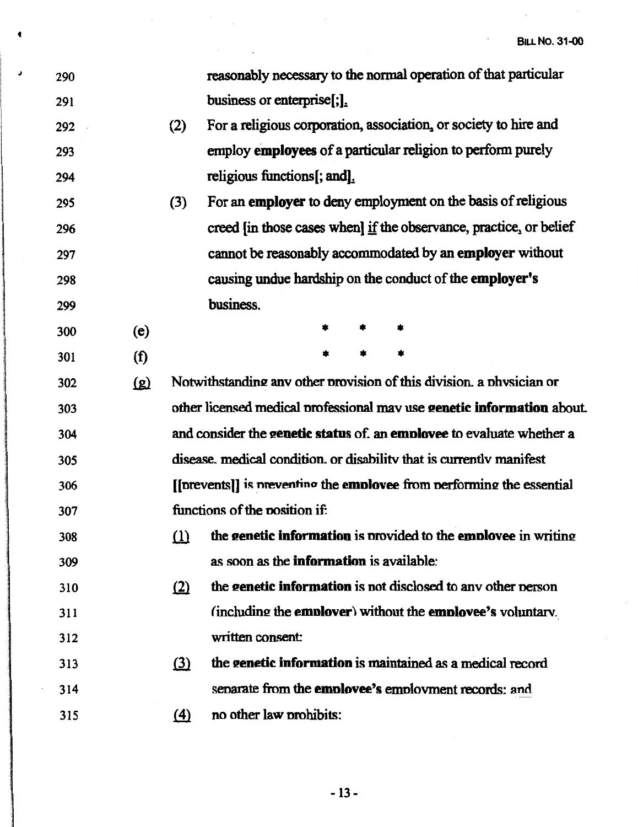$\hat{\mathcal{L}}$ 

 $\sim$ 

 $\Delta \sim 10^{11}$ 

| 290 |      |          | reasonably necessary to the normal operation of that particular        |
|-----|------|----------|------------------------------------------------------------------------|
| 291 |      |          | business or enterprise[;].                                             |
| 292 |      | (2)      | For a religious corporation, association, or society to hire and       |
| 293 |      |          | employ employees of a particular religion to perform purely            |
| 294 |      |          | religious functions[; and].                                            |
| 295 |      | (3)      | For an employer to deny employment on the basis of religious           |
| 296 |      |          | creed [in those cases when] if the observance, practice, or belief     |
| 297 |      |          | cannot be reasonably accommodated by an employer without               |
| 298 |      |          | causing undue hardship on the conduct of the employer's                |
| 299 |      |          | business.                                                              |
| 300 | (e)  |          | *<br>*<br>*                                                            |
| 301 | (f)  |          | *                                                                      |
| 302 | ট্রে |          | Notwithstanding any other provision of this division. a physician or   |
| 303 |      |          | other licensed medical professional may use genetic information about. |
| 304 |      |          | and consider the genetic status of, an employee to evaluate whether a  |
| 305 |      |          | disease, medical condition, or disability that is currently manifest   |
| 306 |      |          | [[prevents]] is preventing the employee from performing the essential  |
| 307 |      |          | functions of the position if:                                          |
| 308 |      |          | $(1)$ the genetic information is provided to the employee in writing   |
| 309 |      |          | as soon as the <b>information</b> is available:                        |
| 310 |      | (2)      | the genetic information is not disclosed to any other person           |
| 311 |      |          | (including the employer) without the employee's voluntary.             |
| 312 |      |          | written consent:                                                       |
| 313 |      | $\Omega$ | the genetic information is maintained as a medical record              |
| 314 |      |          | separate from the employee's employment records; and                   |
| 315 |      | $\Delta$ | no other law prohibits:                                                |

 $\label{eq:2.1} \frac{1}{2}\sum_{i=1}^n\sum_{j=1}^n\frac{1}{2\pi i}\sum_{j=1}^n\frac{1}{2\pi i}\sum_{j=1}^n\frac{1}{2\pi i}\sum_{j=1}^n\frac{1}{2\pi i}\sum_{j=1}^n\frac{1}{2\pi i}\sum_{j=1}^n\frac{1}{2\pi i}\sum_{j=1}^n\frac{1}{2\pi i}\sum_{j=1}^n\frac{1}{2\pi i}\sum_{j=1}^n\frac{1}{2\pi i}\sum_{j=1}^n\frac{1}{2\pi i}\sum_{j=1}^n\frac{1}{2\$ 

**4** 

 $\pmb{\mathsf{J}}$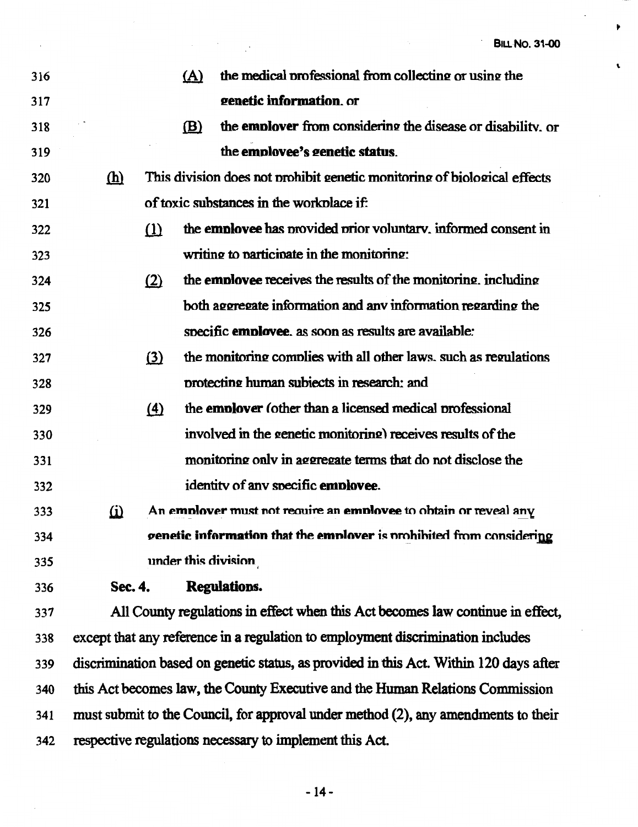$\overline{\phantom{a}}$ 

 $\blacktriangleright$ 

 $\mathbf{t}$ 

| 316 |            |          | (A) | the medical professional from collecting or using the                                  |
|-----|------------|----------|-----|----------------------------------------------------------------------------------------|
| 317 |            |          |     | genetic information. or                                                                |
| 318 |            |          | (B) | the <b>employer</b> from considering the disease or disability, or                     |
| 319 |            |          |     | the employee's genetic status.                                                         |
| 320 | <u>(h)</u> |          |     | This division does not prohibit genetic monitoring of biological effects               |
| 321 |            |          |     | of toxic substances in the workplace if:                                               |
| 322 |            | $\Omega$ |     | the employee has provided prior voluntary, informed consent in                         |
| 323 |            |          |     | writing to participate in the monitoring:                                              |
| 324 |            | (2)      |     | the <b>employee</b> receives the results of the monitoring, including                  |
| 325 |            |          |     | both aggregate information and any information regarding the                           |
| 326 |            |          |     | specific employee. as soon as results are available:                                   |
| 327 |            | $\Omega$ |     | the monitoring complies with all other laws, such as regulations                       |
| 328 |            |          |     | protecting human subjects in research: and                                             |
| 329 |            | $\Delta$ |     | the <b>employer</b> (other than a licensed medical professional                        |
| 330 |            |          |     | involved in the genetic monitoring) receives results of the                            |
| 331 |            |          |     | monitoring only in aggregate terms that do not disclose the                            |
| 332 |            |          |     | identity of any specific employee.                                                     |
| 333 | $\omega$   |          |     | An employer must not require an employee to obtain or reveal any                       |
| 334 |            |          |     | genetic information that the emplover is prohibited from considering                   |
| 335 |            |          |     | under this division                                                                    |
| 336 | Sec. 4.    |          |     | <b>Regulations.</b>                                                                    |
| 337 |            |          |     | All County regulations in effect when this Act becomes law continue in effect,         |
| 338 |            |          |     | except that any reference in a regulation to employment discrimination includes        |
| 339 |            |          |     | discrimination based on genetic status, as provided in this Act. Within 120 days after |
| 340 |            |          |     | this Act becomes law, the County Executive and the Human Relations Commission          |
| 341 |            |          |     | must submit to the Council, for approval under method (2), any amendments to their     |

respective regulations necessary to implement this Act. 342